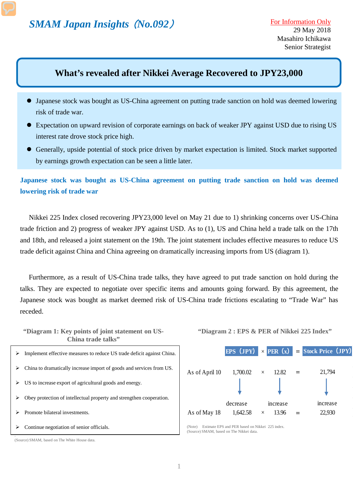# **What's revealed after Nikkei Average Recovered to JPY23,000**

- Japanese stock was bought as US-China agreement on putting trade sanction on hold was deemed lowering risk of trade war.
- Expectation on upward revision of corporate earnings on back of weaker JPY against USD due to rising US interest rate drove stock price high.
- Generally, upside potential of stock price driven by market expectation is limited. Stock market supported by earnings growth expectation can be seen a little later.

**Japanese stock was bought as US-China agreement on putting trade sanction on hold was deemed lowering risk of trade war**

 Nikkei 225 Index closed recovering JPY23,000 level on May 21 due to 1) shrinking concerns over US-China trade friction and 2) progress of weaker JPY against USD. As to (1), US and China held a trade talk on the 17th and 18th, and released a joint statement on the 19th. The joint statement includes effective measures to reduce US trade deficit against China and China agreeing on dramatically increasing imports from US (diagram 1).

 Furthermore, as a result of US-China trade talks, they have agreed to put trade sanction on hold during the talks. They are expected to negotiate over specific items and amounts going forward. By this agreement, the Japanese stock was bought as market deemed risk of US-China trade frictions escalating to "Trade War" has receded.

**"Diagram 1: Key points of joint statement on US-China trade talks"**

 $\triangleright$  Implement effective measures to reduce US trade deficit against China. China to dramatically increase import of goods and services from US.  $\triangleright$  US to increase export of agricultural goods and energy. Obey protection of intellectual property and strengthen cooperation.  $\triangleright$  Promote bilateral investments.  $\triangleright$  Continue negotiation of senior officials.

**"Diagram 2 : EPS & PER of Nikkei 225 Index"**

|                |          |                       |     | <b>EPS</b> $(IPY)$ $\times$ <b>PER</b> $(x)$ = Stock Price $(IPY)$ |
|----------------|----------|-----------------------|-----|--------------------------------------------------------------------|
| As of April 10 | 1,700.02 | 12.82<br>$\mathsf{X}$ | $=$ | 21,794                                                             |
|                |          |                       |     |                                                                    |
|                | decrease | increase              |     | increase                                                           |
| As of May 18   | 1,642.58 | 13.96<br>$\times$     |     | 22,930                                                             |

(Note) Estimate EPS and PER based on Nikkei 225 index. (Source) SMAM, based on The Nikkei data.

<sup>(</sup>Source) SMAM, based on The White House data.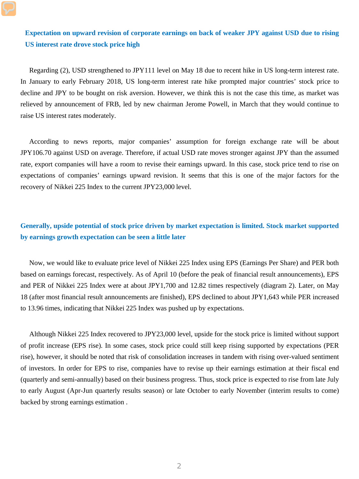### **Expectation on upward revision of corporate earnings on back of weaker JPY against USD due to rising US interest rate drove stock price high**

 Regarding (2), USD strengthened to JPY111 level on May 18 due to recent hike in US long-term interest rate. In January to early February 2018, US long-term interest rate hike prompted major countries' stock price to decline and JPY to be bought on risk aversion. However, we think this is not the case this time, as market was relieved by announcement of FRB, led by new chairman Jerome Powell, in March that they would continue to raise US interest rates moderately.

 According to news reports, major companies' assumption for foreign exchange rate will be about JPY106.70 against USD on average. Therefore, if actual USD rate moves stronger against JPY than the assumed rate, export companies will have a room to revise their earnings upward. In this case, stock price tend to rise on expectations of companies' earnings upward revision. It seems that this is one of the major factors for the recovery of Nikkei 225 Index to the current JPY23,000 level.

## **Generally, upside potential of stock price driven by market expectation is limited. Stock market supported by earnings growth expectation can be seen a little later**

Now, we would like to evaluate price level of Nikkei 225 Index using EPS (Earnings Per Share) and PER both based on earnings forecast, respectively. As of April 10 (before the peak of financial result announcements), EPS and PER of Nikkei 225 Index were at about JPY1,700 and 12.82 times respectively (diagram 2). Later, on May 18 (after most financial result announcements are finished), EPS declined to about JPY1,643 while PER increased to 13.96 times, indicating that Nikkei 225 Index was pushed up by expectations.

 Although Nikkei 225 Index recovered to JPY23,000 level, upside for the stock price is limited without support of profit increase (EPS rise). In some cases, stock price could still keep rising supported by expectations (PER rise), however, it should be noted that risk of consolidation increases in tandem with rising over-valued sentiment of investors. In order for EPS to rise, companies have to revise up their earnings estimation at their fiscal end (quarterly and semi-annually) based on their business progress. Thus, stock price is expected to rise from late July to early August (Apr-Jun quarterly results season) or late October to early November (interim results to come) backed by strong earnings estimation .